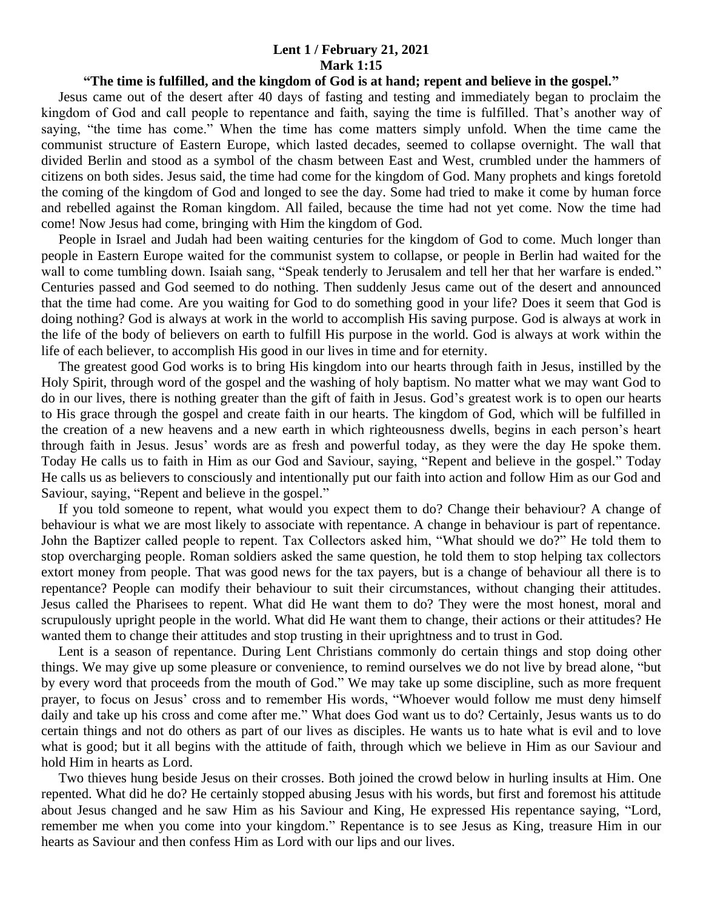## **Lent 1 / February 21, 2021 Mark 1:15**

## **"The time is fulfilled, and the kingdom of God is at hand; repent and believe in the gospel."**

 Jesus came out of the desert after 40 days of fasting and testing and immediately began to proclaim the kingdom of God and call people to repentance and faith, saying the time is fulfilled. That's another way of saying, "the time has come." When the time has come matters simply unfold. When the time came the communist structure of Eastern Europe, which lasted decades, seemed to collapse overnight. The wall that divided Berlin and stood as a symbol of the chasm between East and West, crumbled under the hammers of citizens on both sides. Jesus said, the time had come for the kingdom of God. Many prophets and kings foretold the coming of the kingdom of God and longed to see the day. Some had tried to make it come by human force and rebelled against the Roman kingdom. All failed, because the time had not yet come. Now the time had come! Now Jesus had come, bringing with Him the kingdom of God.

 People in Israel and Judah had been waiting centuries for the kingdom of God to come. Much longer than people in Eastern Europe waited for the communist system to collapse, or people in Berlin had waited for the wall to come tumbling down. Isaiah sang, "Speak tenderly to Jerusalem and tell her that her warfare is ended." Centuries passed and God seemed to do nothing. Then suddenly Jesus came out of the desert and announced that the time had come. Are you waiting for God to do something good in your life? Does it seem that God is doing nothing? God is always at work in the world to accomplish His saving purpose. God is always at work in the life of the body of believers on earth to fulfill His purpose in the world. God is always at work within the life of each believer, to accomplish His good in our lives in time and for eternity.

 The greatest good God works is to bring His kingdom into our hearts through faith in Jesus, instilled by the Holy Spirit, through word of the gospel and the washing of holy baptism. No matter what we may want God to do in our lives, there is nothing greater than the gift of faith in Jesus. God's greatest work is to open our hearts to His grace through the gospel and create faith in our hearts. The kingdom of God, which will be fulfilled in the creation of a new heavens and a new earth in which righteousness dwells, begins in each person's heart through faith in Jesus. Jesus' words are as fresh and powerful today, as they were the day He spoke them. Today He calls us to faith in Him as our God and Saviour, saying, "Repent and believe in the gospel." Today He calls us as believers to consciously and intentionally put our faith into action and follow Him as our God and Saviour, saying, "Repent and believe in the gospel."

 If you told someone to repent, what would you expect them to do? Change their behaviour? A change of behaviour is what we are most likely to associate with repentance. A change in behaviour is part of repentance. John the Baptizer called people to repent. Tax Collectors asked him, "What should we do?" He told them to stop overcharging people. Roman soldiers asked the same question, he told them to stop helping tax collectors extort money from people. That was good news for the tax payers, but is a change of behaviour all there is to repentance? People can modify their behaviour to suit their circumstances, without changing their attitudes. Jesus called the Pharisees to repent. What did He want them to do? They were the most honest, moral and scrupulously upright people in the world. What did He want them to change, their actions or their attitudes? He wanted them to change their attitudes and stop trusting in their uprightness and to trust in God.

 Lent is a season of repentance. During Lent Christians commonly do certain things and stop doing other things. We may give up some pleasure or convenience, to remind ourselves we do not live by bread alone, "but by every word that proceeds from the mouth of God." We may take up some discipline, such as more frequent prayer, to focus on Jesus' cross and to remember His words, "Whoever would follow me must deny himself daily and take up his cross and come after me." What does God want us to do? Certainly, Jesus wants us to do certain things and not do others as part of our lives as disciples. He wants us to hate what is evil and to love what is good; but it all begins with the attitude of faith, through which we believe in Him as our Saviour and hold Him in hearts as Lord.

 Two thieves hung beside Jesus on their crosses. Both joined the crowd below in hurling insults at Him. One repented. What did he do? He certainly stopped abusing Jesus with his words, but first and foremost his attitude about Jesus changed and he saw Him as his Saviour and King, He expressed His repentance saying, "Lord, remember me when you come into your kingdom." Repentance is to see Jesus as King, treasure Him in our hearts as Saviour and then confess Him as Lord with our lips and our lives.